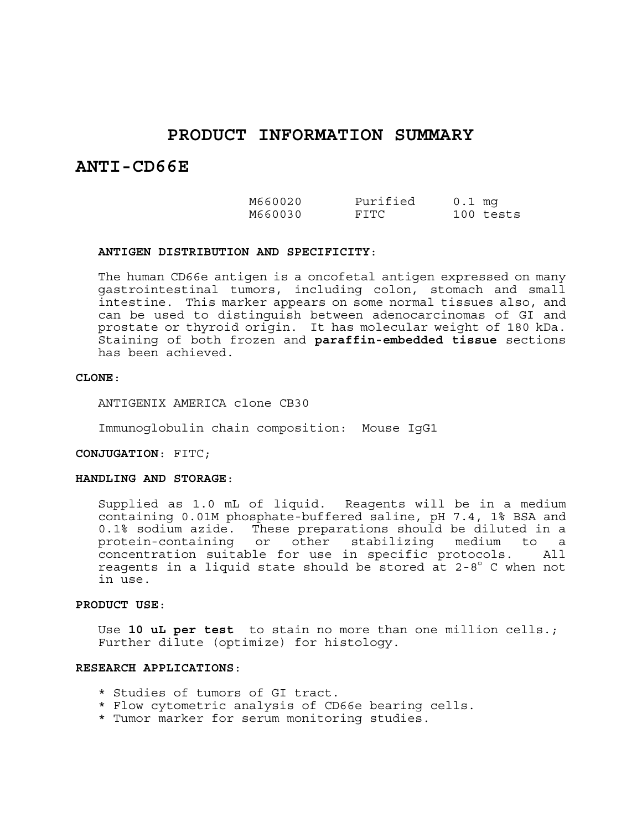# **PRODUCT INFORMATION SUMMARY**

# **ANTI-CD66E**

| M660020 | Purified | $0.1$ mq |           |
|---------|----------|----------|-----------|
| M660030 | FTTC.    |          | 100 tests |

#### **ANTIGEN DISTRIBUTION AND SPECIFICITY**:

The human CD66e antigen is a oncofetal antigen expressed on many gastrointestinal tumors, including colon, stomach and small intestine. This marker appears on some normal tissues also, and can be used to distinguish between adenocarcinomas of GI and prostate or thyroid origin. It has molecular weight of 180 kDa. Staining of both frozen and **paraffin-embedded tissue** sections has been achieved.

## **CLONE**:

ANTIGENIX AMERICA clone CB30

Immunoglobulin chain composition: Mouse IgG1

## **CONJUGATION**: FITC;

## **HANDLING AND STORAGE**:

Supplied as 1.0 mL of liquid. Reagents will be in a medium containing 0.01M phosphate-buffered saline, pH 7.4, 1% BSA and 0.1% sodium azide. These preparations should be diluted in a protein-containing or other stabilizing medium to a concentration suitable for use in specific protocols. All reagents in a liquid state should be stored at 2-8° C when not in use.

#### **PRODUCT USE**:

Use **10 uL per test** to stain no more than one million cells.; Further dilute (optimize) for histology.

#### **RESEARCH APPLICATIONS**:

- \* Studies of tumors of GI tract.
- \* Flow cytometric analysis of CD66e bearing cells.
- \* Tumor marker for serum monitoring studies.